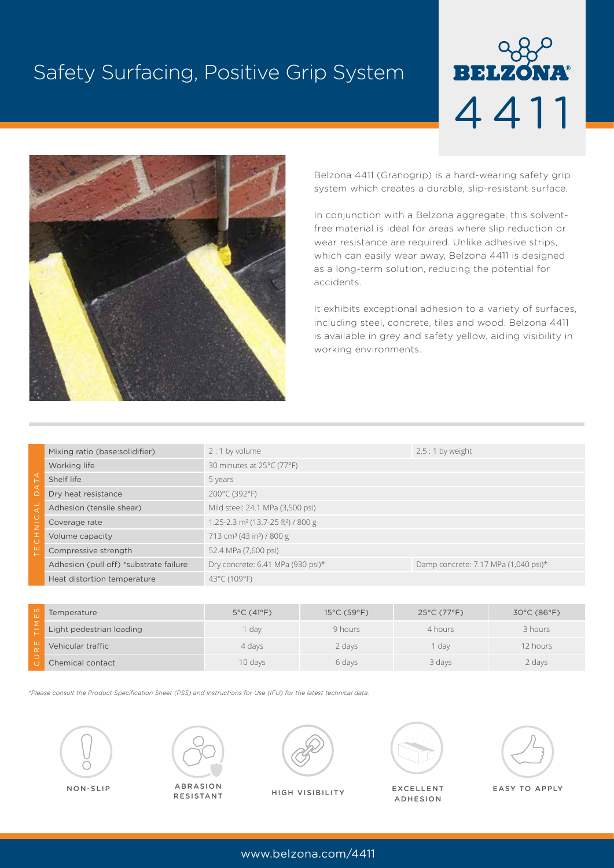# Safety Surfacing, Positive Grip System





Belzona 4411 (Granogrip) is a hard-wearing safety grip system which creates a durable, slip-resistant surface.

In conjunction with a Belzona aggregate, this solventfree material is ideal for areas where slip reduction or wear resistance are required. Unlike adhesive strips, which can easily wear away, Belzona 4411 is designed as a long-term solution, reducing the potential for accidents.

It exhibits exceptional adhesion to a variety of surfaces, including steel, concrete, tiles and wood. Belzona 4411 is available in grey and safety yellow, aiding visibility in working environments.

|                                    | Mixing ratio (base:solidifier)         | $2:1$ by volume                                            | $2.5:1$ by weight                    |
|------------------------------------|----------------------------------------|------------------------------------------------------------|--------------------------------------|
| ◁<br>۷ħ<br>◁<br>$\subset$          | Working life                           | 30 minutes at 25°C (77°F)                                  |                                      |
|                                    | Shelf life                             | 5 years                                                    |                                      |
|                                    | Dry heat resistance                    | 200°C (392°F)                                              |                                      |
| ◁<br>Ċ<br>ΙĒ<br>I<br>$\mathcal{C}$ | Adhesion (tensile shear)               | Mild steel: 24.1 MPa (3,500 psi)                           |                                      |
|                                    | Coverage rate                          | 1.25-2.3 m <sup>2</sup> (13.7-25 ft <sup>2</sup> ) / 800 g |                                      |
|                                    | Volume capacity                        | 713 cm <sup>3</sup> (43 in <sup>3</sup> ) / 800 g          |                                      |
|                                    | Compressive strength                   | 52.4 MPa (7,600 psi)                                       |                                      |
|                                    | Adhesion (pull off) *substrate failure | Dry concrete: 6.41 MPa (930 psi)*                          | Damp concrete: 7.17 MPa (1,040 psi)* |
|                                    | Heat distortion temperature            | 43°C (109°F)                                               |                                      |

| $\omega$ | Temperature              | $5^{\circ}$ C (41 $^{\circ}$ F) | $15^{\circ}$ C (59 $^{\circ}$ F) | $25^{\circ}$ C (77 $^{\circ}$ F) | $30^{\circ}$ C (86 $^{\circ}$ F) |
|----------|--------------------------|---------------------------------|----------------------------------|----------------------------------|----------------------------------|
|          | Light pedestrian loading | day                             | 9 hours                          | 4 hours                          | 3 hours                          |
|          | Vehicular traffic        | 4 days                          | 2 days                           | dav                              | 12 hours                         |
|          | Chemical contact         | 10 days                         | 6 days                           | 3 days                           | 2 days                           |

*\*Please consult the Product Specification Sheet (PSS) and Instructions for Use (IFU) for the latest technical data.*







**HIGH VISIBILITY** 



NON-SLIP ABRASION HIGH VISIBILITY EXCELLENT EASY TO APPLY ADHESION